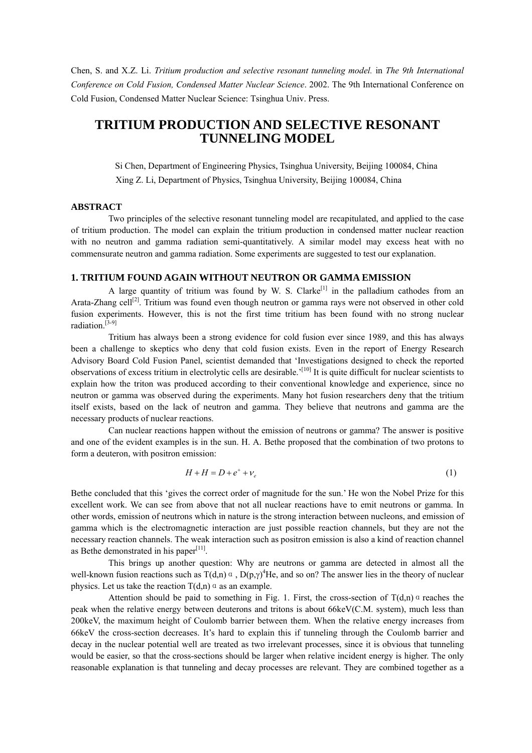Chen, S. and X.Z. Li. *Tritium production and selective resonant tunneling model.* in *The 9th International Conference on Cold Fusion, Condensed Matter Nuclear Science*. 2002. The 9th International Conference on Cold Fusion, Condensed Matter Nuclear Science: Tsinghua Univ. Press.

# **TRITIUM PRODUCTION AND SELECTIVE RESONANT TUNNELING MODEL**

Si Chen, Department of Engineering Physics, Tsinghua University, Beijing 100084, China Xing Z. Li, Department of Physics, Tsinghua University, Beijing 100084, China

## **ABSTRACT**

Two principles of the selective resonant tunneling model are recapitulated, and applied to the case of tritium production. The model can explain the tritium production in condensed matter nuclear reaction with no neutron and gamma radiation semi-quantitatively. A similar model may excess heat with no commensurate neutron and gamma radiation. Some experiments are suggested to test our explanation.

# **1. TRITIUM FOUND AGAIN WITHOUT NEUTRON OR GAMMA EMISSION**

A large quantity of tritium was found by W. S. Clarke<sup>[1]</sup> in the palladium cathodes from an Arata-Zhang cell<sup>[2]</sup>. Tritium was found even though neutron or gamma rays were not observed in other cold fusion experiments. However, this is not the first time tritium has been found with no strong nuclear radiation.<sup>[3-9]</sup>

Tritium has always been a strong evidence for cold fusion ever since 1989, and this has always been a challenge to skeptics who deny that cold fusion exists. Even in the report of Energy Research Advisory Board Cold Fusion Panel, scientist demanded that 'Investigations designed to check the reported observations of excess tritium in electrolytic cells are desirable.<sup> $[10]$ </sup> It is quite difficult for nuclear scientists to explain how the triton was produced according to their conventional knowledge and experience, since no neutron or gamma was observed during the experiments. Many hot fusion researchers deny that the tritium itself exists, based on the lack of neutron and gamma. They believe that neutrons and gamma are the necessary products of nuclear reactions.

Can nuclear reactions happen without the emission of neutrons or gamma? The answer is positive and one of the evident examples is in the sun. H. A. Bethe proposed that the combination of two protons to form a deuteron, with positron emission:

$$
H + H = D + e^{+} + \nu_{e}
$$
 (1)

Bethe concluded that this 'gives the correct order of magnitude for the sun.' He won the Nobel Prize for this excellent work. We can see from above that not all nuclear reactions have to emit neutrons or gamma. In other words, emission of neutrons which in nature is the strong interaction between nucleons, and emission of gamma which is the electromagnetic interaction are just possible reaction channels, but they are not the necessary reaction channels. The weak interaction such as positron emission is also a kind of reaction channel as Bethe demonstrated in his paper $[11]$ .

This brings up another question: Why are neutrons or gamma are detected in almost all the well-known fusion reactions such as  $T(d,n) \propto D(p,\gamma)^4$  He, and so on? The answer lies in the theory of nuclear physics. Let us take the reaction  $T(d,n)$  as an example.

Attention should be paid to something in Fig. 1. First, the cross-section of  $T(d,n)$ <sup>a</sup> reaches the peak when the relative energy between deuterons and tritons is about 66keV(C.M. system), much less than 200keV, the maximum height of Coulomb barrier between them. When the relative energy increases from 66keV the cross-section decreases. Itís hard to explain this if tunneling through the Coulomb barrier and decay in the nuclear potential well are treated as two irrelevant processes, since it is obvious that tunneling would be easier, so that the cross-sections should be larger when relative incident energy is higher. The only reasonable explanation is that tunneling and decay processes are relevant. They are combined together as a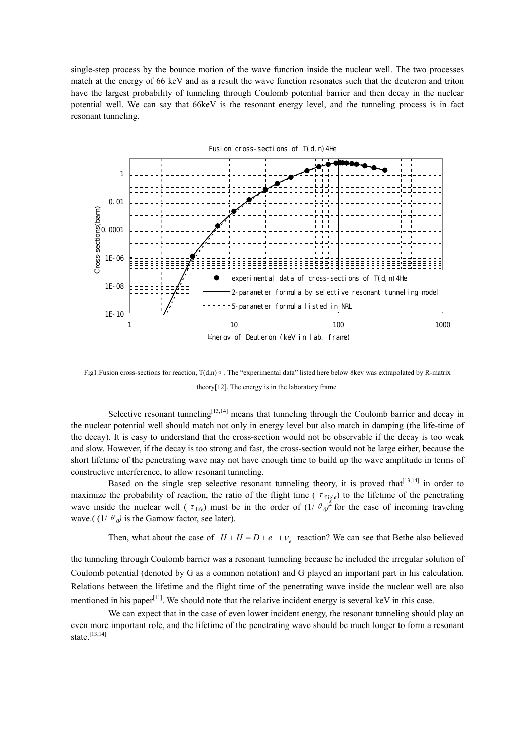single-step process by the bounce motion of the wave function inside the nuclear well. The two processes match at the energy of 66 keV and as a result the wave function resonates such that the deuteron and triton have the largest probability of tunneling through Coulomb potential barrier and then decay in the nuclear potential well. We can say that 66keV is the resonant energy level, and the tunneling process is in fact resonant tunneling.



Fig1.Fusion cross-sections for reaction,  $T(d,n)$ <sup>a</sup>. The "experimental data" listed here below 8kev was extrapolated by R-matrix theory[12]. The energy is in the laboratory frame*.* 

Selective resonant tunneling<sup>[13,14]</sup> means that tunneling through the Coulomb barrier and decay in the nuclear potential well should match not only in energy level but also match in damping (the life-time of the decay). It is easy to understand that the cross-section would not be observable if the decay is too weak and slow. However, if the decay is too strong and fast, the cross-section would not be large either, because the short lifetime of the penetrating wave may not have enough time to build up the wave amplitude in terms of constructive interference, to allow resonant tunneling.

Based on the single step selective resonant tunneling theory, it is proved that  $[13,14]$  in order to maximize the probability of reaction, the ratio of the flight time ( $\tau_{\text{flight}}$ ) to the lifetime of the penetrating wave inside the nuclear well ( $\tau_{\text{life}}$ ) must be in the order of  $(1/ \theta_0)^2$  for the case of incoming traveling wave.(  $(1/ \theta_0)$  is the Gamow factor, see later).

Then, what about the case of  $H + H = D + e^+ + v$ , reaction? We can see that Bethe also believed

the tunneling through Coulomb barrier was a resonant tunneling because he included the irregular solution of Coulomb potential (denoted by G as a common notation) and G played an important part in his calculation. Relations between the lifetime and the flight time of the penetrating wave inside the nuclear well are also mentioned in his paper<sup>[11]</sup>. We should note that the relative incident energy is several keV in this case.

We can expect that in the case of even lower incident energy, the resonant tunneling should play an even more important role, and the lifetime of the penetrating wave should be much longer to form a resonant state.<sup>[13,14]</sup>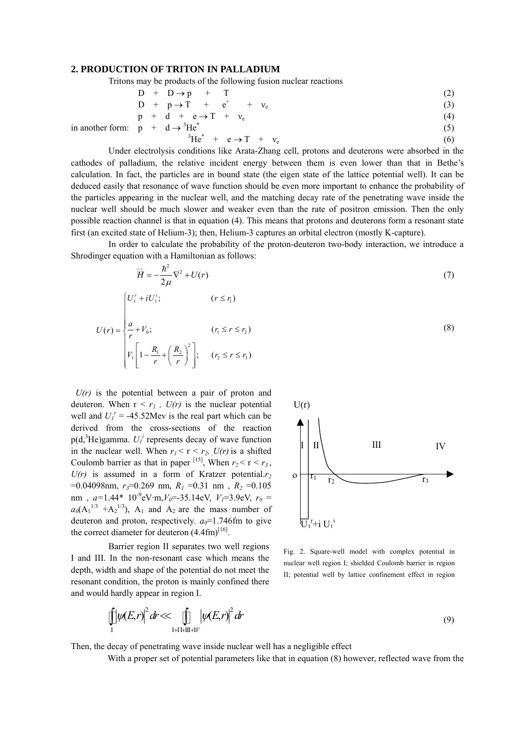#### **2. PRODUCTION OF TRITON IN PALLADIUM**

3

Tritons may be products of the following fusion nuclear reactions

$$
D + D \rightarrow p + T
$$
 (2)

$$
D + p \rightarrow T + e^{+} + v_{e}
$$
  
\n
$$
p + d + e \rightarrow T + v_{e}
$$
 (3)  
\n(4)

$$
p + d \rightarrow 1 + c \rightarrow 1 + \nu_e
$$
  
\n
$$
p + d \rightarrow 3\text{He}^* \tag{5}
$$

in another form: 
$$
p + d \rightarrow {}^{3}He^{*}
$$

$$
\text{He}^* + \text{e} \to \text{T} + \text{v}_\text{e} \tag{6}
$$

Under electrolysis conditions like Arata-Zhang cell, protons and deuterons were absorbed in the cathodes of palladium, the relative incident energy between them is even lower than that in Bethe's calculation. In fact, the particles are in bound state (the eigen state of the lattice potential well). It can be deduced easily that resonance of wave function should be even more important to enhance the probability of the particles appearing in the nuclear well, and the matching decay rate of the penetrating wave inside the nuclear well should be much slower and weaker even than the rate of positron emission. Then the only possible reaction channel is that in equation (4). This means that protons and deuterons form a resonant state first (an excited state of Helium-3); then, Helium-3 captures an orbital electron (mostly K-capture).

In order to calculate the probability of the proton-deuteron two-body interaction, we introduce a Shrodinger equation with a Hamiltonian as follows:

$$
\overline{H} = -\frac{\hbar^2}{2\mu} \nabla^2 + U(r)
$$
\n(7)  
\n
$$
U(r) = \begin{cases}\nU_1^r + iU_1^i; & (r \le r_1) \\
\frac{a}{r} + V_0; & (r_1 \le r \le r_2) \\
V_1 \left[1 - \frac{R_1}{r} + \left(\frac{R_2}{r}\right)^2\right]; & (r_2 \le r \le r_3)\n\end{cases}
$$
\n(8)

 $U(r)$  is the potential between a pair of proton and deuteron. When  $r < r_1$ ,  $U(r)$  is the nuclear potential well and  $U_I^r = -45.52$ Mev is the real part which can be derived from the cross-sections of the reaction  $p(d, \n<sup>3</sup>He)$ gamma.  $U_l^i$  represents decay of wave function in the nuclear well. When  $r_1 < r < r_2$ ,  $U(r)$  is a shifted Coulomb barrier as that in paper <sup>[15]</sup>, When  $r_2 < r < r_3$ ,  $U(r)$  is assumed in a form of Kratzer potential. $r_2$  $=0.04098$ nm,  $r_3=0.269$  nm,  $R_1 = 0.31$  nm,  $R_2 = 0.105$ nm,  $a=1.44*10^{-9}$ eV·m,  $V_0$ =-35.14eV,  $V_1$ =3.9eV,  $r_0$  =  $a_0(A_1^{1/3} + A_2^{1/3})$ ,  $A_1$  and  $A_2$  are the mass number of deuteron and proton, respectively.  $a_0$ =1.746fm to give the correct diameter for deuteron  $(4.4 \text{fm})^{[16]}$ .

Barrier region II separates two well regions I and III. In the non-resonant case which means the depth, width and shape of the potential do not meet the resonant condition, the proton is mainly confined there and would hardly appear in region I.



Fig. 2. Square-well model with complex potential in nuclear well region I; shielded Coulomb barrier in region II; potential well by lattice confinement effect in region

$$
\iint\limits_{\Gamma} \left| \psi(E,r) \right|^2 dr \ll \iint\limits_{\Gamma + \Gamma + \Pi \Gamma + \Pi'} \left| \psi(E,r) \right|^2 dr \tag{9}
$$

Then, the decay of penetrating wave inside nuclear well has a negligible effect

With a proper set of potential parameters like that in equation (8) however, reflected wave from the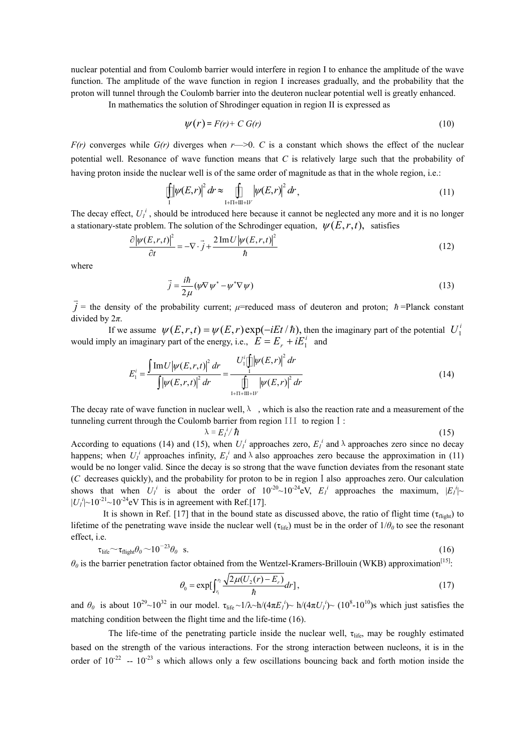nuclear potential and from Coulomb barrier would interfere in region I to enhance the amplitude of the wave function. The amplitude of the wave function in region I increases gradually, and the probability that the proton will tunnel through the Coulomb barrier into the deuteron nuclear potential well is greatly enhanced.

In mathematics the solution of Shrodinger equation in region II is expressed as

$$
\psi(r) = F(r) + C G(r) \tag{10}
$$

 $F(r)$  converges while  $G(r)$  diverges when  $r \rightarrow 0$ . *C* is a constant which shows the effect of the nuclear potential well. Resonance of wave function means that *C* is relatively large such that the probability of having proton inside the nuclear well is of the same order of magnitude as that in the whole region, i.e.:

$$
\iint_{I} |\psi(E,r)|^2 dr \approx \iint_{I+II+III+IV} |\psi(E,r)|^2 dr,
$$
\n(11)

The decay effect,  $U_l^i$ , should be introduced here because it cannot be neglected any more and it is no longer a stationary-state problem. The solution of the Schrodinger equation,  $\psi(E, r, t)$ , satisfies

$$
\frac{\partial |\psi(E,r,t)|^2}{\partial t} = -\nabla \cdot \vec{j} + \frac{2 \operatorname{Im} U |\psi(E,r,t)|^2}{\hbar} \tag{12}
$$

where

$$
\vec{j} = \frac{i\hbar}{2\mu} (\psi \nabla \psi^* - \psi^* \nabla \psi)
$$
\n(13)

 $\vec{j}$  = the density of the probability current;  $\mu$ =reduced mass of deuteron and proton;  $\hbar$ =Planck constant divided by 2*π*.

If we assume  $\psi(E,r,t) = \psi(E,r) \exp(-iEt/\hbar)$ , then the imaginary part of the potential  $U_1^i$ would imply an imaginary part of the energy, i.e.,  $E = E_r + iE_1^i$  and

$$
E_1^i = \frac{\int \text{Im} U |\psi(E, r, t)|^2 dr}{\int |\psi(E, r, t)|^2 dr} = \frac{U_1^i [\prod_{r=1}^i |\psi(E, r)|^2 dr}{\prod_{i+\Pi + \Pi + \Pi + \Pi'}^i |\psi(E, r)|^2 dr}
$$
(14)

The decay rate of wave function in nuclear well,  $\lambda$ , which is also the reaction rate and a measurement of the tunneling current through the Coulomb barrier from region III to region I:

$$
\lambda = E_I^i / \hbar \tag{15}
$$

According to equations (14) and (15), when  $U_l^i$  approaches zero,  $E_l^i$  and  $\lambda$  approaches zero since no decay happens; when  $U_l^i$  approaches infinity,  $E_l^i$  and  $\lambda$  also approaches zero because the approximation in (11) would be no longer valid. Since the decay is so strong that the wave function deviates from the resonant state (*C* decreases quickly), and the probability for proton to be in regionⅠalso approaches zero. Our calculation shows that when  $U_l^i$  is about the order of  $10^{-20} \sim 10^{-24}$  eV,  $E_l^i$  approaches the maximum,  $|E_l^i|$  $|U_I^i|$ ~10<sup>-21</sup> ~10<sup>-24</sup> eV This is in agreement with Ref.[17].

It is shown in Ref. [17] that in the bound state as discussed above, the ratio of flight time ( $\tau_{\text{flight}}$ ) to lifetime of the penetrating wave inside the nuclear well  $(\tau_{\text{life}})$  must be in the order of  $1/\theta_0$  to see the resonant effect, i.e.

$$
\tau_{\text{life}} \sim \tau_{\text{flight}} \theta_0 \sim 10^{-23} \theta_0 \quad \text{s.}
$$

 $\theta_0$  is the barrier penetration factor obtained from the Wentzel-Kramers-Brillouin (WKB) approximation<sup>[15]</sup>:

$$
\theta_0 = \exp\left[\int_{r_1}^{r_2} \frac{\sqrt{2\mu(U_2(r) - E_r)}}{\hbar} dr\right],\tag{17}
$$

and  $\theta_0$  is about  $10^{29} \sim 10^{32}$  in our model.  $\tau_{\text{life}} \sim 1/\lambda \sim h/(4\pi E_I^i) \sim h/(4\pi U_I^i) \sim (10^8 \text{--} 10^{10})$ s which just satisfies the matching condition between the flight time and the life-time (16).

The life-time of the penetrating particle inside the nuclear well,  $\tau_{\text{life}}$ , may be roughly estimated based on the strength of the various interactions. For the strong interaction between nucleons, it is in the order of  $10^{-22}$  --  $10^{-23}$  s which allows only a few oscillations bouncing back and forth motion inside the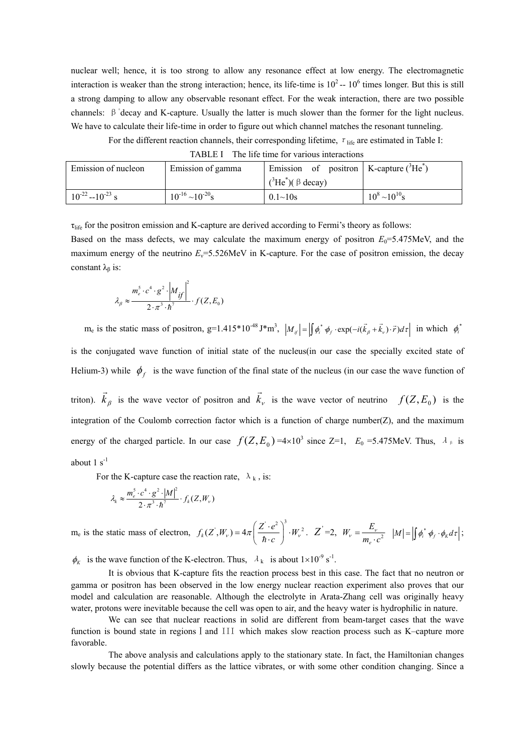nuclear well; hence, it is too strong to allow any resonance effect at low energy. The electromagnetic interaction is weaker than the strong interaction; hence, its life-time is  $10^2 - 10^6$  times longer. But this is still a strong damping to allow any observable resonant effect. For the weak interaction, there are two possible channels:  $\beta$ <sup>+</sup>decay and K-capture. Usually the latter is much slower than the former for the light nucleus. We have to calculate their life-time in order to figure out which channel matches the resonant tunneling.

For the different reaction channels, their corresponding lifetime,  $\tau_{\text{life}}$  are estimated in Table I:

| .<br>THE HIGHING TOT VALIOUS HIGHCHOILS |                            |                                                 |                       |
|-----------------------------------------|----------------------------|-------------------------------------------------|-----------------------|
| Emission of nucleon                     | Emission of gamma          | Emission of positron   K-capture $(^{3}He^{*})$ |                       |
|                                         |                            | $(^3$ He <sup>*</sup> )( $\beta$ decay)         |                       |
| $10^{-22} - 10^{-23}$ s                 | $10^{-16} \sim 10^{-20}$ s | $0.1 \sim 10s$                                  | $10^8 \sim 10^{10}$ s |

TABLE I The life time for various interactions

τ<sub>life</sub> for the positron emission and K-capture are derived according to Fermi's theory as follows:

Based on the mass defects, we may calculate the maximum energy of positron  $E_0 = 5.475$ MeV, and the maximum energy of the neutrino  $E_y = 5.526$ MeV in K-capture. For the case of positron emission, the decay constant  $\lambda_{\beta}$  is:

$$
\lambda_{\beta} \approx \frac{m_e^5 \cdot c^4 \cdot g^2 \cdot \left|M_{if}\right|^2}{2 \cdot \pi^3 \cdot \hbar^7} \cdot f(Z, E_0)
$$

 $m_e$  is the static mass of positron, g=1.415\*10<sup>-48</sup> J\*m<sup>3</sup>,  $|M_{i\ell}| = \left| \int \phi_i^* \phi_f \cdot \exp(-i(\vec{k}_\beta + \vec{k}_\nu) \cdot \vec{r}) d\tau \right|$  in which  $\phi_i^*$ is the conjugated wave function of initial state of the nucleus(in our case the specially excited state of Helium-3) while  $\phi_f$  is the wave function of the final state of the nucleus (in our case the wave function of triton).  $k_{\beta}$  is the wave vector of positron and r  $\vec{k}_v$  is the wave vector of neutrino  $f(Z, E_0)$  is the integration of the Coulomb correction factor which is a function of charge number( $Z$ ), and the maximum energy of the charged particle. In our case  $f(Z, E_0) = 4 \times 10^3$  since Z=1,  $E_0 = 5.475$ MeV. Thus,  $\lambda_{\beta}$  is about  $1 \text{ s}^{-1}$ 

For the K-capture case the reaction rate,  $\lambda_k$ , is:

$$
\lambda_{k} \approx \frac{m_{e}^{5} \cdot c^{4} \cdot g^{2} \cdot |M|^{2}}{2 \cdot \pi^{3} \cdot \hbar^{7}} \cdot f_{k}(Z, W_{v})
$$

me is the static mass of electron,  $f_k(Z^{\prime}, W_{\nu}) = 4\pi \left(\frac{Z^{\prime} \cdot e^2}{\hbar \cdot c}\right)^3 \cdot W$  $\mathcal{L}_{V}$ ) = 4 $\pi$   $\frac{2 \cdot e}{4}$   $\cdot W_{V}^{2}$  $=4\pi\left(\frac{Z'\cdot e^2}{\hbar\cdot c}\right)^3\cdot W_v^2$ .  $Z'=2$ ,  $W_v=\frac{E_v}{m_e\cdot c^2}$  $W_v = \frac{E_v}{m_e \cdot c^2}$   $|M| = \left| \int \phi_i^* \phi_f \cdot \phi_k d\tau \right|;$ 

 $\phi_K$  is the wave function of the K-electron. Thus,  $\lambda_k$  is about  $1 \times 10^{-9}$  s<sup>-1</sup>.

It is obvious that K-capture fits the reaction process best in this case. The fact that no neutron or gamma or positron has been observed in the low energy nuclear reaction experiment also proves that our model and calculation are reasonable. Although the electrolyte in Arata-Zhang cell was originally heavy water, protons were inevitable because the cell was open to air, and the heavy water is hydrophilic in nature.

We can see that nuclear reactions in solid are different from beam-target cases that the wave function is bound state in regions I and III which makes slow reaction process such as K–capture more favorable.

The above analysis and calculations apply to the stationary state. In fact, the Hamiltonian changes slowly because the potential differs as the lattice vibrates, or with some other condition changing. Since a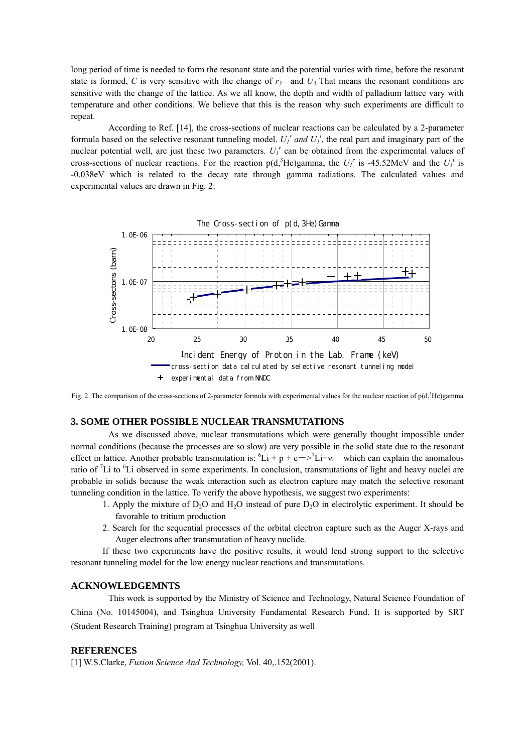long period of time is needed to form the resonant state and the potential varies with time, before the resonant state is formed, *C* is very sensitive with the change of  $r<sub>3</sub>$  and  $U<sub>3</sub>$ . That means the resonant conditions are sensitive with the change of the lattice. As we all know, the depth and width of palladium lattice vary with temperature and other conditions. We believe that this is the reason why such experiments are difficult to repeat.

According to Ref. [14], the cross-sections of nuclear reactions can be calculated by a 2-parameter formula based on the selective resonant tunneling model.  $U_I^r$  and  $U_I^i$ , the real part and imaginary part of the nuclear potential well, are just these two parameters.  $U_l^r$  can be obtained from the experimental values of cross-sections of nuclear reactions. For the reaction  $p(d, {}^{3}He)$ gamma, the  $U_I^r$  is -45.52MeV and the  $U_I^i$  is -0.038eV which is related to the decay rate through gamma radiations. The calculated values and experimental values are drawn in Fig. 2:



Fig. 2. The comparison of the cross-sections of 2-parameter formula with experimental values for the nuclear reaction of  $p(d, \hat{d}H)$  =  $p$ 

## **3. SOME OTHER POSSIBLE NUCLEAR TRANSMUTATIONS**

As we discussed above, nuclear transmutations which were generally thought impossible under normal conditions (because the processes are so slow) are very possible in the solid state due to the resonant effect in lattice. Another probable transmutation is:  ${}^6Li + p + e \rightarrow {}^7Li + v_e$  which can explain the anomalous ratio of  ${}^{7}Li$  to  ${}^{6}Li$  observed in some experiments. In conclusion, transmutations of light and heavy nuclei are probable in solids because the weak interaction such as electron capture may match the selective resonant tunneling condition in the lattice. To verify the above hypothesis, we suggest two experiments:

- 1. Apply the mixture of  $D_2O$  and  $H_2O$  instead of pure  $D_2O$  in electrolytic experiment. It should be favorable to tritium production
- 2. Search for the sequential processes of the orbital electron capture such as the Auger X-rays and Auger electrons after transmutation of heavy nuclide.

If these two experiments have the positive results, it would lend strong support to the selective resonant tunneling model for the low energy nuclear reactions and transmutations.

#### **ACKNOWLEDGEMNTS**

This work is supported by the Ministry of Science and Technology, Natural Science Foundation of China (No. 10145004), and Tsinghua University Fundamental Research Fund. It is supported by SRT (Student Research Training) program at Tsinghua University as well

## **REFERENCES**

[1] W.S.Clarke, *Fusion Science And Technology,* Vol. 40,.152(2001).